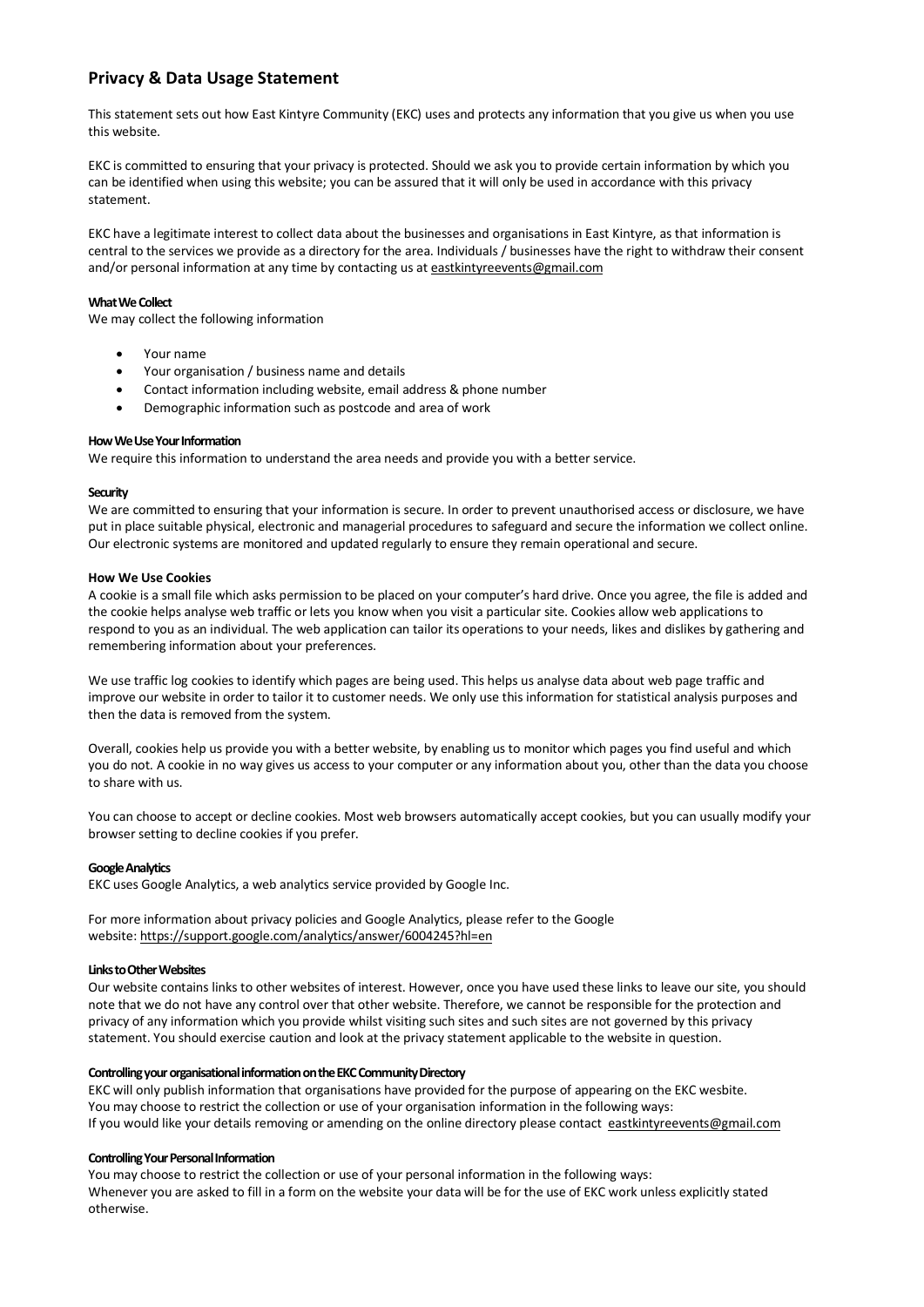# **Privacy & Data Usage Statement**

This statement sets out how East Kintyre Community (EKC) uses and protects any information that you give us when you use this website.

EKC is committed to ensuring that your privacy is protected. Should we ask you to provide certain information by which you can be identified when using this website; you can be assured that it will only be used in accordance with this privacy statement.

EKC have a legitimate interest to collect data about the businesses and organisations in East Kintyre, as that information is central to the services we provide as a directory for the area. Individuals / businesses have the right to withdraw their consent and/or personal information at any time by contacting us at eastkintyreevents@gmail.com

# **What We Collect**

We may collect the following information

- Your name
- Your organisation / business name and details
- Contact information including website, email address & phone number
- Demographic information such as postcode and area of work

# **How We Use Your Information**

We require this information to understand the area needs and provide you with a better service.

#### **Security**

We are committed to ensuring that your information is secure. In order to prevent unauthorised access or disclosure, we have put in place suitable physical, electronic and managerial procedures to safeguard and secure the information we collect online. Our electronic systems are monitored and updated regularly to ensure they remain operational and secure.

# **How We Use Cookies**

A cookie is a small file which asks permission to be placed on your computer's hard drive. Once you agree, the file is added and the cookie helps analyse web traffic or lets you know when you visit a particular site. Cookies allow web applications to respond to you as an individual. The web application can tailor its operations to your needs, likes and dislikes by gathering and remembering information about your preferences.

We use traffic log cookies to identify which pages are being used. This helps us analyse data about web page traffic and improve our website in order to tailor it to customer needs. We only use this information for statistical analysis purposes and then the data is removed from the system.

Overall, cookies help us provide you with a better website, by enabling us to monitor which pages you find useful and which you do not. A cookie in no way gives us access to your computer or any information about you, other than the data you choose to share with us.

You can choose to accept or decline cookies. Most web browsers automatically accept cookies, but you can usually modify your browser setting to decline cookies if you prefer.

#### **Google Analytics**

EKC uses Google Analytics, a web analytics service provided by Google Inc.

For more information about privacy policies and Google Analytics, please refer to the Google website: https://support.google.com/analytics/answer/6004245?hl=en

#### **Links to Other Websites**

Our website contains links to other websites of interest. However, once you have used these links to leave our site, you should note that we do not have any control over that other website. Therefore, we cannot be responsible for the protection and privacy of any information which you provide whilst visiting such sites and such sites are not governed by this privacy statement. You should exercise caution and look at the privacy statement applicable to the website in question.

#### **Controlling your organisational information on the EKC Community Directory**

EKC will only publish information that organisations have provided for the purpose of appearing on the EKC wesbite. You may choose to restrict the collection or use of your organisation information in the following ways: If you would like your details removing or amending on the online directory please contact eastkintyreevents@gmail.com

#### **Controlling Your Personal Information**

You may choose to restrict the collection or use of your personal information in the following ways: Whenever you are asked to fill in a form on the website your data will be for the use of EKC work unless explicitly stated otherwise.